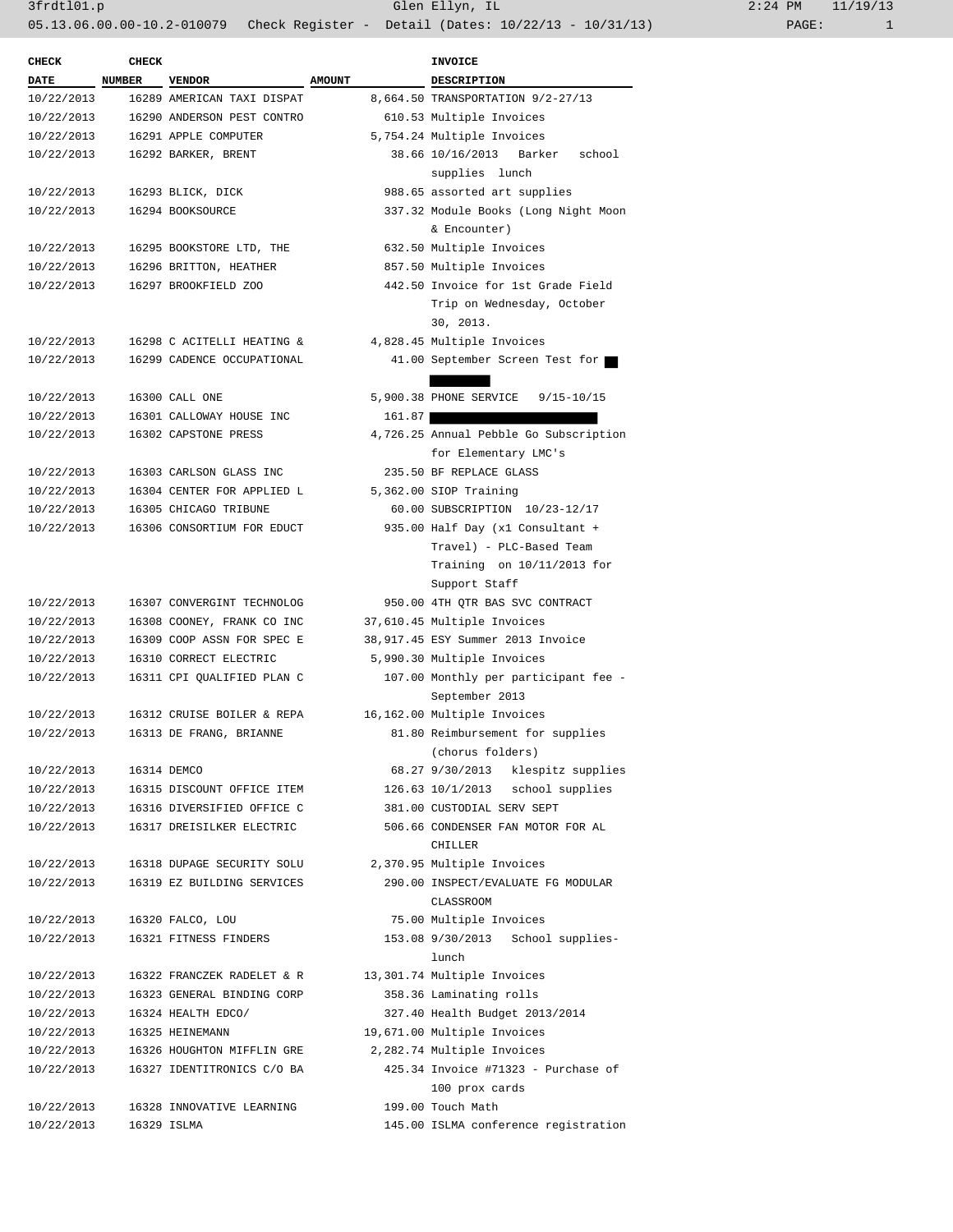| <b>CHECK</b> | <b>CHECK</b>  |                            |               | INVOICE                                  |
|--------------|---------------|----------------------------|---------------|------------------------------------------|
| <b>DATE</b>  | <b>NUMBER</b> | <b>VENDOR</b>              | <b>AMOUNT</b> | <b>DESCRIPTION</b>                       |
| 10/22/2013   |               | 16289 AMERICAN TAXI DISPAT |               | 8,664.50 TRANSPORTATION 9/2-27/13        |
| 10/22/2013   |               | 16290 ANDERSON PEST CONTRO |               | 610.53 Multiple Invoices                 |
| 10/22/2013   |               | 16291 APPLE COMPUTER       |               | 5,754.24 Multiple Invoices               |
| 10/22/2013   |               | 16292 BARKER, BRENT        |               | 38.66 10/16/2013 Barker<br>school        |
|              |               |                            |               | supplies lunch                           |
| 10/22/2013   |               | 16293 BLICK, DICK          |               | 988.65 assorted art supplies             |
| 10/22/2013   |               | 16294 BOOKSOURCE           |               | 337.32 Module Books (Long Night Moon     |
|              |               |                            |               | & Encounter)                             |
| 10/22/2013   |               | 16295 BOOKSTORE LTD, THE   |               | 632.50 Multiple Invoices                 |
| 10/22/2013   |               | 16296 BRITTON, HEATHER     |               | 857.50 Multiple Invoices                 |
| 10/22/2013   |               | 16297 BROOKFIELD ZOO       |               | 442.50 Invoice for 1st Grade Field       |
|              |               |                            |               | Trip on Wednesday, October               |
|              |               |                            |               | 30, 2013.                                |
| 10/22/2013   |               | 16298 C ACITELLI HEATING & |               | 4,828.45 Multiple Invoices               |
| 10/22/2013   |               | 16299 CADENCE OCCUPATIONAL |               | 41.00 September Screen Test for          |
| 10/22/2013   |               | 16300 CALL ONE             |               | 5,900.38 PHONE SERVICE<br>$9/15 - 10/15$ |
| 10/22/2013   |               | 16301 CALLOWAY HOUSE INC   | 161.87        |                                          |
| 10/22/2013   |               | 16302 CAPSTONE PRESS       |               | 4,726.25 Annual Pebble Go Subscription   |
|              |               |                            |               | for Elementary LMC's                     |
| 10/22/2013   |               | 16303 CARLSON GLASS INC    |               | 235.50 BF REPLACE GLASS                  |
| 10/22/2013   |               | 16304 CENTER FOR APPLIED L |               | 5,362.00 SIOP Training                   |
| 10/22/2013   |               | 16305 CHICAGO TRIBUNE      |               | 60.00 SUBSCRIPTION 10/23-12/17           |
| 10/22/2013   |               | 16306 CONSORTIUM FOR EDUCT |               | 935.00 Half Day (x1 Consultant +         |
|              |               |                            |               | Travel) - PLC-Based Team                 |
|              |               |                            |               | Training on 10/11/2013 for               |
|              |               |                            |               | Support Staff                            |
| 10/22/2013   |               | 16307 CONVERGINT TECHNOLOG |               | 950.00 4TH QTR BAS SVC CONTRACT          |
| 10/22/2013   |               | 16308 COONEY, FRANK CO INC |               | 37,610.45 Multiple Invoices              |
| 10/22/2013   |               | 16309 COOP ASSN FOR SPEC E |               | 38,917.45 ESY Summer 2013 Invoice        |
| 10/22/2013   |               | 16310 CORRECT ELECTRIC     |               | 5,990.30 Multiple Invoices               |
| 10/22/2013   |               | 16311 CPI QUALIFIED PLAN C |               | 107.00 Monthly per participant fee -     |
|              |               |                            |               | September 2013                           |
| 10/22/2013   |               | 16312 CRUISE BOILER & REPA |               | 16,162.00 Multiple Invoices              |
| 10/22/2013   |               | 16313 DE FRANG, BRIANNE    |               | 81.80 Reimbursement for supplies         |
|              |               |                            |               | (chorus folders)                         |
| 10/22/2013   |               | 16314 DEMCO                |               | 68.27 9/30/2013 klespitz supplies        |
| 10/22/2013   |               | 16315 DISCOUNT OFFICE ITEM |               | 126.63 10/1/2013 school supplies         |
| 10/22/2013   |               | 16316 DIVERSIFIED OFFICE C |               | 381.00 CUSTODIAL SERV SEPT               |
| 10/22/2013   |               | 16317 DREISILKER ELECTRIC  |               | 506.66 CONDENSER FAN MOTOR FOR AL        |
|              |               |                            |               | CHILLER                                  |
| 10/22/2013   |               | 16318 DUPAGE SECURITY SOLU |               | 2,370.95 Multiple Invoices               |
| 10/22/2013   |               | 16319 EZ BUILDING SERVICES |               | 290.00 INSPECT/EVALUATE FG MODULAR       |
|              |               |                            |               | CLASSROOM                                |
| 10/22/2013   |               | 16320 FALCO, LOU           |               | 75.00 Multiple Invoices                  |
| 10/22/2013   |               | 16321 FITNESS FINDERS      |               | 153.08 9/30/2013 School supplies-        |
|              |               |                            |               | lunch                                    |
| 10/22/2013   |               | 16322 FRANCZEK RADELET & R |               | 13,301.74 Multiple Invoices              |
| 10/22/2013   |               | 16323 GENERAL BINDING CORP |               | 358.36 Laminating rolls                  |
| 10/22/2013   |               | 16324 HEALTH EDCO/         |               | 327.40 Health Budget 2013/2014           |
| 10/22/2013   |               | 16325 HEINEMANN            |               | 19,671.00 Multiple Invoices              |
| 10/22/2013   |               | 16326 HOUGHTON MIFFLIN GRE |               | 2,282.74 Multiple Invoices               |
| 10/22/2013   |               | 16327 IDENTITRONICS C/O BA |               | 425.34 Invoice #71323 - Purchase of      |
|              |               |                            |               | 100 prox cards                           |
| 10/22/2013   |               | 16328 INNOVATIVE LEARNING  |               | 199.00 Touch Math                        |
| 10/22/2013   |               | 16329 ISLMA                |               | 145.00 ISLMA conference registration     |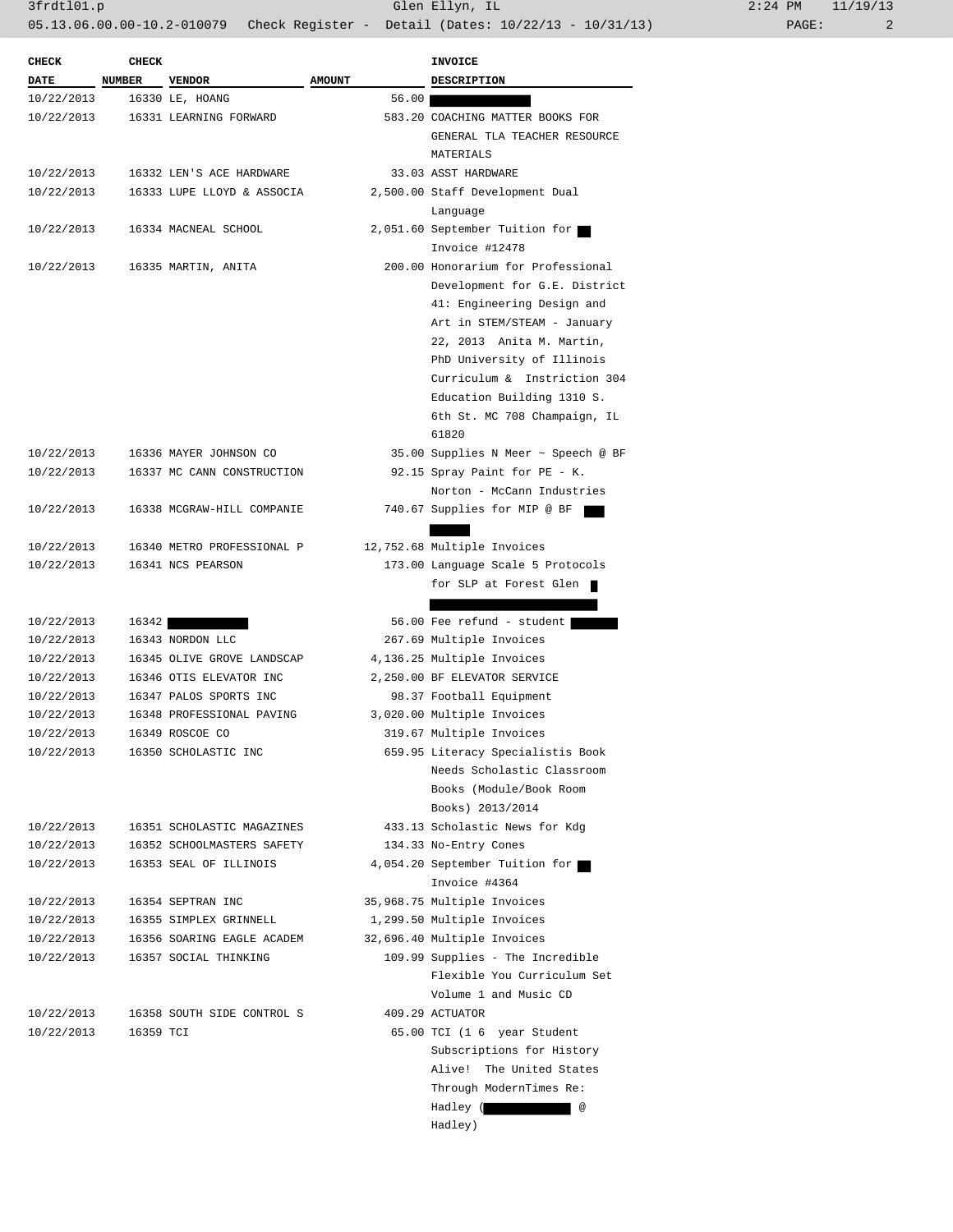3frdtl01.p Glen Ellyn, IL 2:24 PM 11/19/13

05.13.06.00.00-10.2-010079 Check Register - Detail (Dates: 10/22/13 - 10/31/13) PAGE: 2

| 2:24 PM |       | 11/19/13 |
|---------|-------|----------|
|         | PAGE: |          |

| <b>CHECK</b>       | <b>CHECK</b>  |                                  |                        | <b>INVOICE</b>                      |
|--------------------|---------------|----------------------------------|------------------------|-------------------------------------|
| DATE<br>10/22/2013 | <b>NUMBER</b> | <b>VENDOR</b><br>16330 LE, HOANG | <b>AMOUNT</b><br>56.00 | <b>DESCRIPTION</b>                  |
| 10/22/2013         |               | 16331 LEARNING FORWARD           |                        | 583.20 COACHING MATTER BOOKS FOR    |
|                    |               |                                  |                        | GENERAL TLA TEACHER RESOURCE        |
|                    |               |                                  |                        | MATERIALS                           |
| 10/22/2013         |               | 16332 LEN'S ACE HARDWARE         |                        | 33.03 ASST HARDWARE                 |
| 10/22/2013         |               | 16333 LUPE LLOYD & ASSOCIA       |                        | 2,500.00 Staff Development Dual     |
|                    |               |                                  |                        | Language                            |
| 10/22/2013         |               | 16334 MACNEAL SCHOOL             |                        | 2,051.60 September Tuition for      |
|                    |               |                                  |                        | Invoice #12478                      |
| 10/22/2013         |               | 16335 MARTIN, ANITA              |                        | 200.00 Honorarium for Professional  |
|                    |               |                                  |                        | Development for G.E. District       |
|                    |               |                                  |                        | 41: Engineering Design and          |
|                    |               |                                  |                        | Art in STEM/STEAM - January         |
|                    |               |                                  |                        | 22, 2013 Anita M. Martin,           |
|                    |               |                                  |                        | PhD University of Illinois          |
|                    |               |                                  |                        | Curriculum & Instriction 304        |
|                    |               |                                  |                        | Education Building 1310 S.          |
|                    |               |                                  |                        | 6th St. MC 708 Champaign, IL        |
|                    |               |                                  |                        | 61820                               |
| 10/22/2013         |               | 16336 MAYER JOHNSON CO           |                        | 35.00 Supplies N Meer ~ Speech @ BF |
| 10/22/2013         |               | 16337 MC CANN CONSTRUCTION       |                        | 92.15 Spray Paint for PE - K.       |
|                    |               |                                  |                        | Norton - McCann Industries          |
| 10/22/2013         |               | 16338 MCGRAW-HILL COMPANIE       |                        | 740.67 Supplies for MIP @ BF        |
|                    |               |                                  |                        |                                     |
| 10/22/2013         |               | 16340 METRO PROFESSIONAL P       |                        | 12,752.68 Multiple Invoices         |
| 10/22/2013         |               | 16341 NCS PEARSON                |                        | 173.00 Language Scale 5 Protocols   |
|                    |               |                                  |                        | for SLP at Forest Glen              |
|                    |               |                                  |                        |                                     |
| 10/22/2013         | 16342         |                                  |                        | 56.00 Fee refund - student          |
| 10/22/2013         |               | 16343 NORDON LLC                 |                        | 267.69 Multiple Invoices            |
| 10/22/2013         |               | 16345 OLIVE GROVE LANDSCAP       |                        | 4,136.25 Multiple Invoices          |
| 10/22/2013         |               | 16346 OTIS ELEVATOR INC          |                        | 2,250.00 BF ELEVATOR SERVICE        |
| 10/22/2013         |               | 16347 PALOS SPORTS INC           |                        | 98.37 Football Equipment            |
| 10/22/2013         |               | 16348 PROFESSIONAL PAVING        |                        | 3,020.00 Multiple Invoices          |
| 10/22/2013         |               | 16349 ROSCOE CO                  |                        | 319.67 Multiple Invoices            |
| 10/22/2013         |               | 16350 SCHOLASTIC INC             |                        | 659.95 Literacy Specialistis Book   |
|                    |               |                                  |                        | Needs Scholastic Classroom          |
|                    |               |                                  |                        | Books (Module/Book Room             |
|                    |               |                                  |                        | Books) 2013/2014                    |
| 10/22/2013         |               | 16351 SCHOLASTIC MAGAZINES       |                        | 433.13 Scholastic News for Kdg      |
| 10/22/2013         |               | 16352 SCHOOLMASTERS SAFETY       |                        | 134.33 No-Entry Cones               |
| 10/22/2013         |               | 16353 SEAL OF ILLINOIS           |                        | 4,054.20 September Tuition for      |
|                    |               |                                  |                        | Invoice #4364                       |
| 10/22/2013         |               | 16354 SEPTRAN INC                |                        | 35,968.75 Multiple Invoices         |
| 10/22/2013         |               | 16355 SIMPLEX GRINNELL           |                        | 1,299.50 Multiple Invoices          |
| 10/22/2013         |               | 16356 SOARING EAGLE ACADEM       |                        | 32,696.40 Multiple Invoices         |
| 10/22/2013         |               | 16357 SOCIAL THINKING            |                        | 109.99 Supplies - The Incredible    |
|                    |               |                                  |                        | Flexible You Curriculum Set         |
|                    |               |                                  |                        | Volume 1 and Music CD               |
| 10/22/2013         |               | 16358 SOUTH SIDE CONTROL S       |                        | 409.29 ACTUATOR                     |
| 10/22/2013         | 16359 TCI     |                                  |                        | 65.00 TCI (1 6 year Student         |
|                    |               |                                  |                        | Subscriptions for History           |
|                    |               |                                  |                        | Alive! The United States            |
|                    |               |                                  |                        | Through ModernTimes Re:             |
|                    |               |                                  |                        | Hadley ( @                          |

Hadley)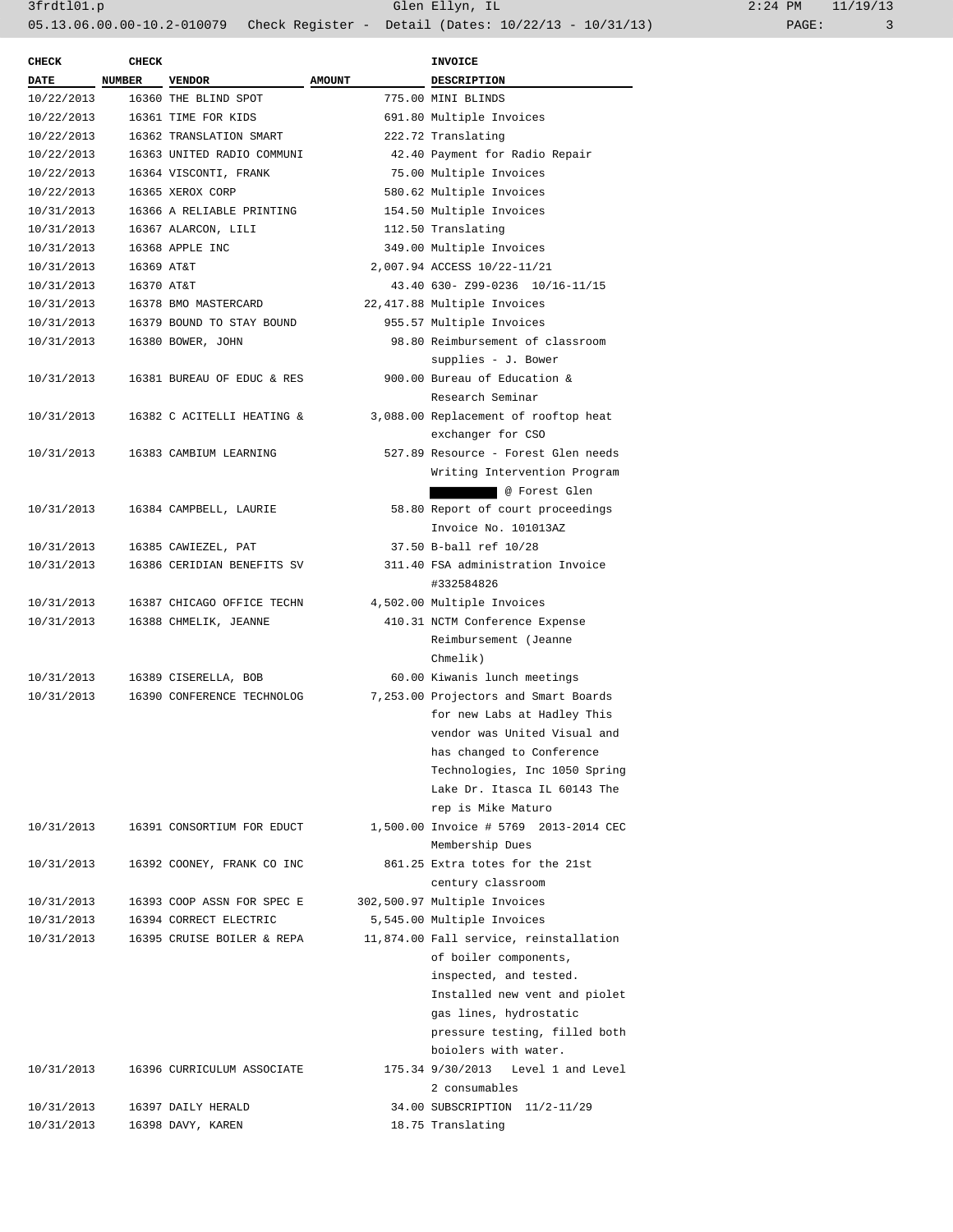| <b>CHECK</b> | <b>CHECK</b> |                                       |               | <b>INVOICE</b>                                                      |
|--------------|--------------|---------------------------------------|---------------|---------------------------------------------------------------------|
| DATE NUMBER  |              | <b>VENDOR</b>                         | <b>AMOUNT</b> | <b>DESCRIPTION</b>                                                  |
| 10/22/2013   |              | 16360 THE BLIND SPOT                  |               | 775.00 MINI BLINDS                                                  |
| 10/22/2013   |              | 16361 TIME FOR KIDS                   |               | 691.80 Multiple Invoices                                            |
| 10/22/2013   |              | 16362 TRANSLATION SMART               |               | 222.72 Translating                                                  |
| 10/22/2013   |              | 16363 UNITED RADIO COMMUNI            |               | 42.40 Payment for Radio Repair                                      |
| 10/22/2013   |              | 16364 VISCONTI, FRANK                 |               | 75.00 Multiple Invoices                                             |
| 10/22/2013   |              | 16365 XEROX CORP                      |               | 580.62 Multiple Invoices                                            |
| 10/31/2013   |              | 16366 A RELIABLE PRINTING             |               | 154.50 Multiple Invoices                                            |
| 10/31/2013   |              | 16367 ALARCON, LILI                   |               | 112.50 Translating                                                  |
| 10/31/2013   |              | 16368 APPLE INC                       |               | 349.00 Multiple Invoices                                            |
| 10/31/2013   | 16369 AT&T   |                                       |               | 2,007.94 ACCESS 10/22-11/21                                         |
| 10/31/2013   | 16370 AT&T   |                                       |               | 43.40 630- Z99-0236 10/16-11/15                                     |
| 10/31/2013   |              | 16378 BMO MASTERCARD                  |               | 22,417.88 Multiple Invoices                                         |
| 10/31/2013   |              | 16379 BOUND TO STAY BOUND             |               | 955.57 Multiple Invoices                                            |
| 10/31/2013   |              | 16380 BOWER, JOHN                     |               | 98.80 Reimbursement of classroom                                    |
|              |              |                                       |               | supplies - J. Bower                                                 |
| 10/31/2013   |              | 16381 BUREAU OF EDUC & RES            |               | 900.00 Bureau of Education &                                        |
|              |              |                                       |               | Research Seminar                                                    |
| 10/31/2013   |              | 16382 C ACITELLI HEATING &            |               | 3,088.00 Replacement of rooftop heat                                |
|              |              |                                       |               | exchanger for CSO                                                   |
| 10/31/2013   |              | 16383 CAMBIUM LEARNING                |               | 527.89 Resource - Forest Glen needs                                 |
|              |              |                                       |               | Writing Intervention Program                                        |
|              |              |                                       |               | @ Forest Glen                                                       |
| 10/31/2013   |              | 16384 CAMPBELL, LAURIE                |               | 58.80 Report of court proceedings                                   |
|              |              |                                       |               | Invoice No. 101013AZ                                                |
| 10/31/2013   |              | 16385 CAWIEZEL, PAT                   |               | 37.50 B-ball ref 10/28                                              |
| 10/31/2013   |              | 16386 CERIDIAN BENEFITS SV            |               | 311.40 FSA administration Invoice                                   |
|              |              |                                       |               | #332584826                                                          |
| 10/31/2013   |              | 16387 CHICAGO OFFICE TECHN            |               | 4,502.00 Multiple Invoices                                          |
|              |              |                                       |               | 410.31 NCTM Conference Expense                                      |
| 10/31/2013   |              | 16388 CHMELIK, JEANNE                 |               |                                                                     |
|              |              |                                       |               | Reimbursement (Jeanne<br>Chmelik)                                   |
|              |              |                                       |               |                                                                     |
| 10/31/2013   |              | 16389 CISERELLA, BOB                  |               | 60.00 Kiwanis lunch meetings                                        |
|              |              | 10/31/2013 16390 CONFERENCE TECHNOLOG |               | 7,253.00 Projectors and Smart Boards<br>for new Labs at Hadley This |
|              |              |                                       |               | vendor was United Visual and                                        |
|              |              |                                       |               |                                                                     |
|              |              |                                       |               | has changed to Conference                                           |
|              |              |                                       |               | Technologies, Inc 1050 Spring                                       |
|              |              |                                       |               | Lake Dr. Itasca IL 60143 The                                        |
|              |              |                                       |               | rep is Mike Maturo                                                  |
| 10/31/2013   |              | 16391 CONSORTIUM FOR EDUCT            |               | 1,500.00 Invoice # 5769 2013-2014 CEC                               |
|              |              |                                       |               | Membership Dues                                                     |
| 10/31/2013   |              | 16392 COONEY, FRANK CO INC            |               | 861.25 Extra totes for the 21st                                     |
|              |              |                                       |               | century classroom                                                   |
| 10/31/2013   |              | 16393 COOP ASSN FOR SPEC E            |               | 302,500.97 Multiple Invoices                                        |
| 10/31/2013   |              | 16394 CORRECT ELECTRIC                |               | 5,545.00 Multiple Invoices                                          |
| 10/31/2013   |              | 16395 CRUISE BOILER & REPA            |               | 11,874.00 Fall service, reinstallation                              |
|              |              |                                       |               | of boiler components,                                               |
|              |              |                                       |               | inspected, and tested.                                              |
|              |              |                                       |               | Installed new vent and piolet                                       |
|              |              |                                       |               | gas lines, hydrostatic                                              |
|              |              |                                       |               | pressure testing, filled both                                       |
|              |              |                                       |               | boiolers with water.                                                |
| 10/31/2013   |              | 16396 CURRICULUM ASSOCIATE            |               | 175.34 9/30/2013 Level 1 and Level                                  |
|              |              |                                       |               | 2 consumables                                                       |
| 10/31/2013   |              | 16397 DAILY HERALD                    |               | 34.00 SUBSCRIPTION 11/2-11/29                                       |
| 10/31/2013   |              | 16398 DAVY, KAREN                     |               | 18.75 Translating                                                   |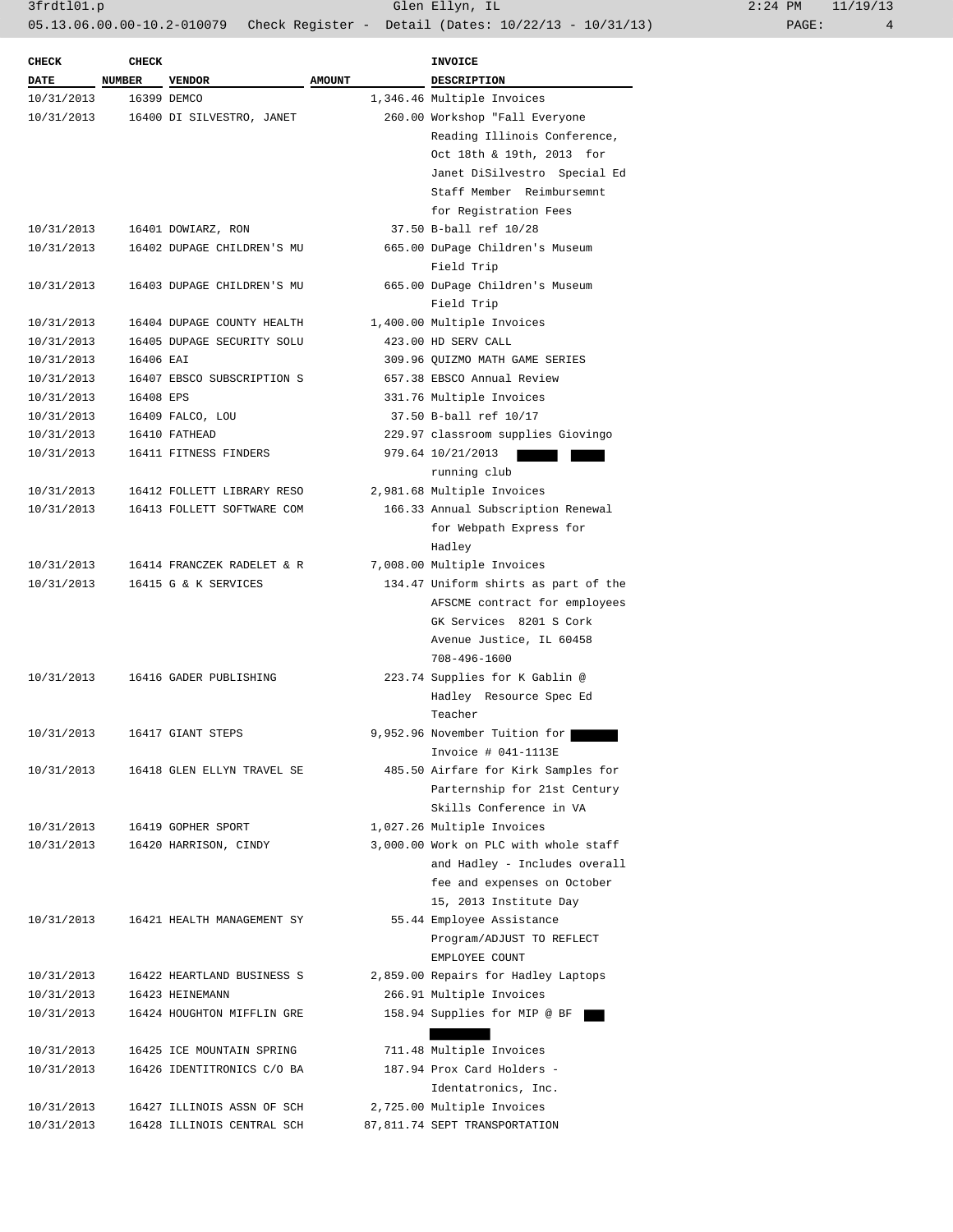3frdtl01.p Glen Ellyn, IL 2:24 PM 11/19/13 05.13.06.00.00-10.2-010079 Check Register - Detail (Dates: 10/22/13 - 10/31/13) PAGE: 4

| <b>CHECK</b> | <b>CHECK</b>  |                                           |               | <b>INVOICE</b>                        |
|--------------|---------------|-------------------------------------------|---------------|---------------------------------------|
| <b>DATE</b>  | <b>NUMBER</b> | <b>VENDOR</b>                             | <b>AMOUNT</b> | <b>DESCRIPTION</b>                    |
| 10/31/2013   |               | 16399 DEMCO                               |               | 1,346.46 Multiple Invoices            |
| 10/31/2013   |               | 16400 DI SILVESTRO, JANET                 |               | 260.00 Workshop "Fall Everyone        |
|              |               |                                           |               | Reading Illinois Conference,          |
|              |               |                                           |               | Oct 18th & 19th, 2013 for             |
|              |               |                                           |               | Janet DiSilvestro Special Ed          |
|              |               |                                           |               | Staff Member Reimbursemnt             |
|              |               |                                           |               | for Registration Fees                 |
| 10/31/2013   |               | 16401 DOWIARZ, RON                        |               | 37.50 B-ball ref 10/28                |
| 10/31/2013   |               | 16402 DUPAGE CHILDREN'S MU                |               | 665.00 DuPage Children's Museum       |
|              |               |                                           |               | Field Trip                            |
| 10/31/2013   |               | 16403 DUPAGE CHILDREN'S MU                |               | 665.00 DuPage Children's Museum       |
|              |               |                                           |               | Field Trip                            |
| 10/31/2013   |               | 16404 DUPAGE COUNTY HEALTH                |               | 1,400.00 Multiple Invoices            |
| 10/31/2013   |               | 16405 DUPAGE SECURITY SOLU                |               | 423.00 HD SERV CALL                   |
| 10/31/2013   | 16406 EAI     |                                           |               | 309.96 QUIZMO MATH GAME SERIES        |
| 10/31/2013   |               | 16407 EBSCO SUBSCRIPTION S                |               | 657.38 EBSCO Annual Review            |
| 10/31/2013   | 16408 EPS     |                                           |               | 331.76 Multiple Invoices              |
| 10/31/2013   |               | 16409 FALCO, LOU                          |               | 37.50 B-ball ref 10/17                |
| 10/31/2013   |               | 16410 FATHEAD                             |               | 229.97 classroom supplies Giovingo    |
| 10/31/2013   |               | 16411 FITNESS FINDERS                     |               | 979.64 10/21/2013                     |
|              |               |                                           |               | running club                          |
| 10/31/2013   |               | 16412 FOLLETT LIBRARY RESO                |               | 2,981.68 Multiple Invoices            |
| 10/31/2013   |               | 16413 FOLLETT SOFTWARE COM                |               | 166.33 Annual Subscription Renewal    |
|              |               |                                           |               | for Webpath Express for               |
|              |               |                                           |               | Hadley                                |
| 10/31/2013   |               | 16414 FRANCZEK RADELET & R                |               | 7,008.00 Multiple Invoices            |
| 10/31/2013   |               | 16415 G & K SERVICES                      |               | 134.47 Uniform shirts as part of the  |
|              |               |                                           |               | AFSCME contract for employees         |
|              |               |                                           |               | GK Services 8201 S Cork               |
|              |               |                                           |               | Avenue Justice, IL 60458              |
|              |               |                                           |               | 708-496-1600                          |
| 10/31/2013   |               | 16416 GADER PUBLISHING                    |               | 223.74 Supplies for K Gablin @        |
|              |               |                                           |               | Hadley Resource Spec Ed               |
|              |               |                                           |               | Teacher                               |
| 10/31/2013   |               | 16417 GIANT STEPS                         |               | 9,952.96 November Tuition for         |
|              |               |                                           |               | Invoice $# 041-1113E$                 |
|              |               | 10/31/2013   16418   GLEN ELLYN TRAVEL SE |               | 485.50 Airfare for Kirk Samples for   |
|              |               |                                           |               | Parternship for 21st Century          |
|              |               |                                           |               | Skills Conference in VA               |
| 10/31/2013   |               | 16419 GOPHER SPORT                        |               | 1,027.26 Multiple Invoices            |
| 10/31/2013   |               | 16420 HARRISON, CINDY                     |               | 3,000.00 Work on PLC with whole staff |
|              |               |                                           |               | and Hadley - Includes overall         |
|              |               |                                           |               | fee and expenses on October           |
|              |               |                                           |               | 15, 2013 Institute Day                |
| 10/31/2013   |               | 16421 HEALTH MANAGEMENT SY                |               | 55.44 Employee Assistance             |
|              |               |                                           |               | Program/ADJUST TO REFLECT             |
|              |               |                                           |               | EMPLOYEE COUNT                        |
| 10/31/2013   |               | 16422 HEARTLAND BUSINESS S                |               | 2,859.00 Repairs for Hadley Laptops   |
| 10/31/2013   |               | 16423 HEINEMANN                           |               | 266.91 Multiple Invoices              |
| 10/31/2013   |               | 16424 HOUGHTON MIFFLIN GRE                |               | 158.94 Supplies for MIP @ BF          |
|              |               |                                           |               |                                       |
| 10/31/2013   |               | 16425 ICE MOUNTAIN SPRING                 |               | 711.48 Multiple Invoices              |
| 10/31/2013   |               | 16426 IDENTITRONICS C/O BA                |               | 187.94 Prox Card Holders -            |
|              |               |                                           |               | Identatronics, Inc.                   |
| 10/31/2013   |               | 16427 ILLINOIS ASSN OF SCH                |               | 2,725.00 Multiple Invoices            |
| 10/31/2013   |               | 16428 ILLINOIS CENTRAL SCH                |               | 87,811.74 SEPT TRANSPORTATION         |
|              |               |                                           |               |                                       |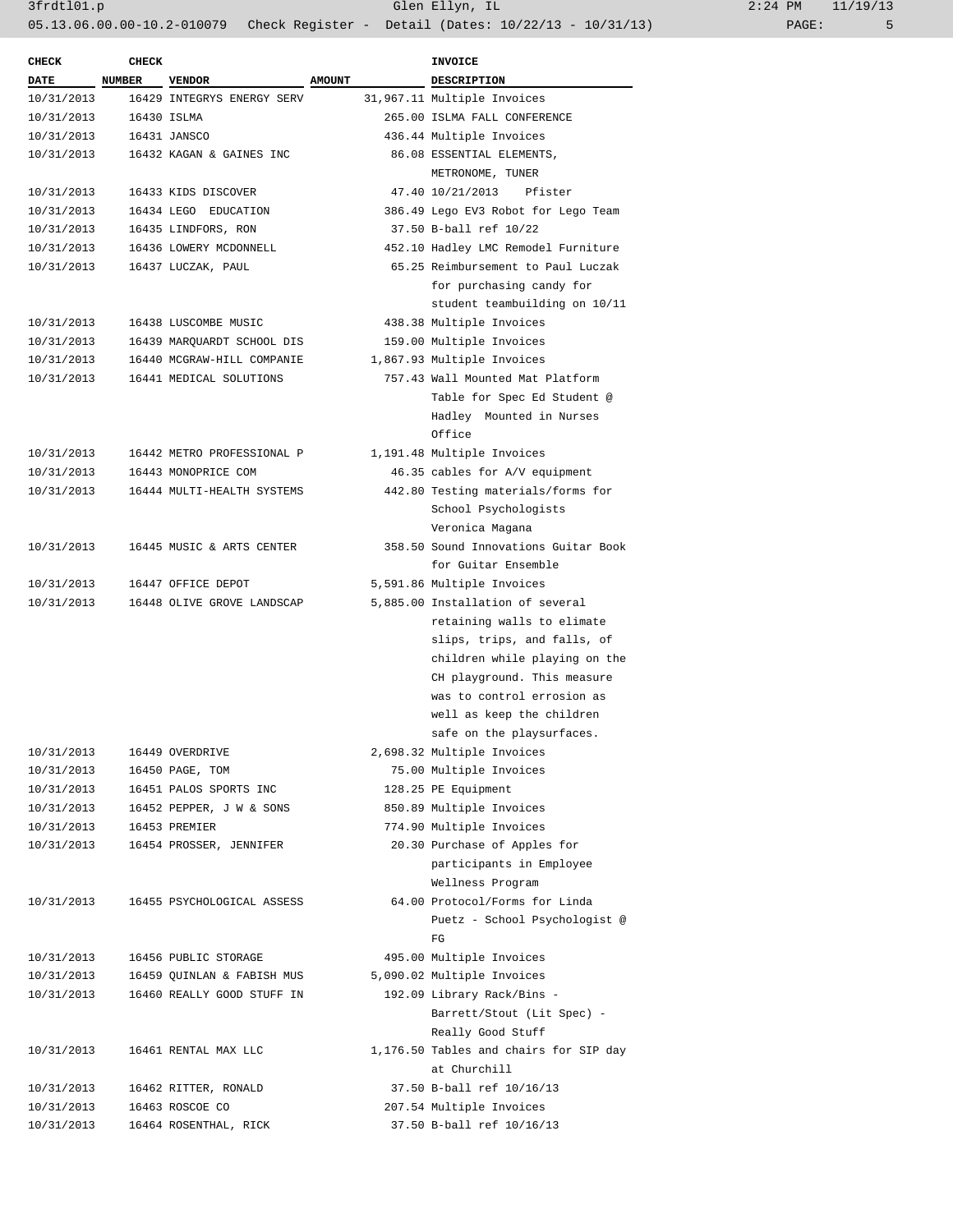| <b>CHECK</b> | <b>CHECK</b> |                            |               | <b>INVOICE</b>                         |
|--------------|--------------|----------------------------|---------------|----------------------------------------|
| <b>DATE</b>  | NUMBER       | <b>VENDOR</b>              | <b>AMOUNT</b> | DESCRIPTION                            |
| 10/31/2013   |              | 16429 INTEGRYS ENERGY SERV |               | 31,967.11 Multiple Invoices            |
| 10/31/2013   |              | 16430 ISLMA                |               | 265.00 ISLMA FALL CONFERENCE           |
| 10/31/2013   |              | 16431 JANSCO               |               | 436.44 Multiple Invoices               |
| 10/31/2013   |              | 16432 KAGAN & GAINES INC   |               | 86.08 ESSENTIAL ELEMENTS,              |
|              |              |                            |               | METRONOME, TUNER                       |
| 10/31/2013   |              | 16433 KIDS DISCOVER        |               | 47.40 10/21/2013<br>Pfister            |
| 10/31/2013   |              | 16434 LEGO EDUCATION       |               | 386.49 Lego EV3 Robot for Lego Team    |
| 10/31/2013   |              | 16435 LINDFORS, RON        |               | 37.50 B-ball ref 10/22                 |
| 10/31/2013   |              | 16436 LOWERY MCDONNELL     |               | 452.10 Hadley LMC Remodel Furniture    |
| 10/31/2013   |              | 16437 LUCZAK, PAUL         |               | 65.25 Reimbursement to Paul Luczak     |
|              |              |                            |               | for purchasing candy for               |
|              |              |                            |               | student teambuilding on 10/11          |
| 10/31/2013   |              | 16438 LUSCOMBE MUSIC       |               | 438.38 Multiple Invoices               |
| 10/31/2013   |              | 16439 MARQUARDT SCHOOL DIS |               | 159.00 Multiple Invoices               |
| 10/31/2013   |              | 16440 MCGRAW-HILL COMPANIE |               | 1,867.93 Multiple Invoices             |
| 10/31/2013   |              | 16441 MEDICAL SOLUTIONS    |               | 757.43 Wall Mounted Mat Platform       |
|              |              |                            |               | Table for Spec Ed Student @            |
|              |              |                            |               | Hadley Mounted in Nurses               |
|              |              |                            |               | Office                                 |
| 10/31/2013   |              | 16442 METRO PROFESSIONAL P |               | 1,191.48 Multiple Invoices             |
| 10/31/2013   |              | 16443 MONOPRICE COM        |               | 46.35 cables for A/V equipment         |
| 10/31/2013   |              | 16444 MULTI-HEALTH SYSTEMS |               | 442.80 Testing materials/forms for     |
|              |              |                            |               | School Psychologists                   |
|              |              |                            |               | Veronica Magana                        |
| 10/31/2013   |              | 16445 MUSIC & ARTS CENTER  |               | 358.50 Sound Innovations Guitar Book   |
|              |              |                            |               | for Guitar Ensemble                    |
| 10/31/2013   |              | 16447 OFFICE DEPOT         |               | 5,591.86 Multiple Invoices             |
| 10/31/2013   |              | 16448 OLIVE GROVE LANDSCAP |               | 5,885.00 Installation of several       |
|              |              |                            |               | retaining walls to elimate             |
|              |              |                            |               | slips, trips, and falls, of            |
|              |              |                            |               | children while playing on the          |
|              |              |                            |               | CH playground. This measure            |
|              |              |                            |               | was to control errosion as             |
|              |              |                            |               | well as keep the children              |
|              |              |                            |               | safe on the playsurfaces.              |
| 10/31/2013   |              | 16449 OVERDRIVE            |               | 2,698.32 Multiple Invoices             |
| 10/31/2013   |              | 16450 PAGE, TOM            |               | 75.00 Multiple Invoices                |
| 10/31/2013   |              | 16451 PALOS SPORTS INC     |               | 128.25 PE Equipment                    |
| 10/31/2013   |              | 16452 PEPPER, J W & SONS   |               | 850.89 Multiple Invoices               |
| 10/31/2013   |              | 16453 PREMIER              |               | 774.90 Multiple Invoices               |
| 10/31/2013   |              | 16454 PROSSER, JENNIFER    |               | 20.30 Purchase of Apples for           |
|              |              |                            |               | participants in Employee               |
|              |              |                            |               | Wellness Program                       |
| 10/31/2013   |              | 16455 PSYCHOLOGICAL ASSESS |               | 64.00 Protocol/Forms for Linda         |
|              |              |                            |               | Puetz - School Psychologist @          |
|              |              |                            |               | FG                                     |
| 10/31/2013   |              | 16456 PUBLIC STORAGE       |               | 495.00 Multiple Invoices               |
| 10/31/2013   |              | 16459 QUINLAN & FABISH MUS |               | 5,090.02 Multiple Invoices             |
| 10/31/2013   |              | 16460 REALLY GOOD STUFF IN |               | 192.09 Library Rack/Bins -             |
|              |              |                            |               | Barrett/Stout (Lit Spec) -             |
|              |              |                            |               | Really Good Stuff                      |
| 10/31/2013   |              | 16461 RENTAL MAX LLC       |               | 1,176.50 Tables and chairs for SIP day |
|              |              |                            |               | at Churchill                           |
| 10/31/2013   |              | 16462 RITTER, RONALD       |               | 37.50 B-ball ref 10/16/13              |
| 10/31/2013   |              | 16463 ROSCOE CO            |               | 207.54 Multiple Invoices               |
| 10/31/2013   |              | 16464 ROSENTHAL, RICK      |               | 37.50 B-ball ref 10/16/13              |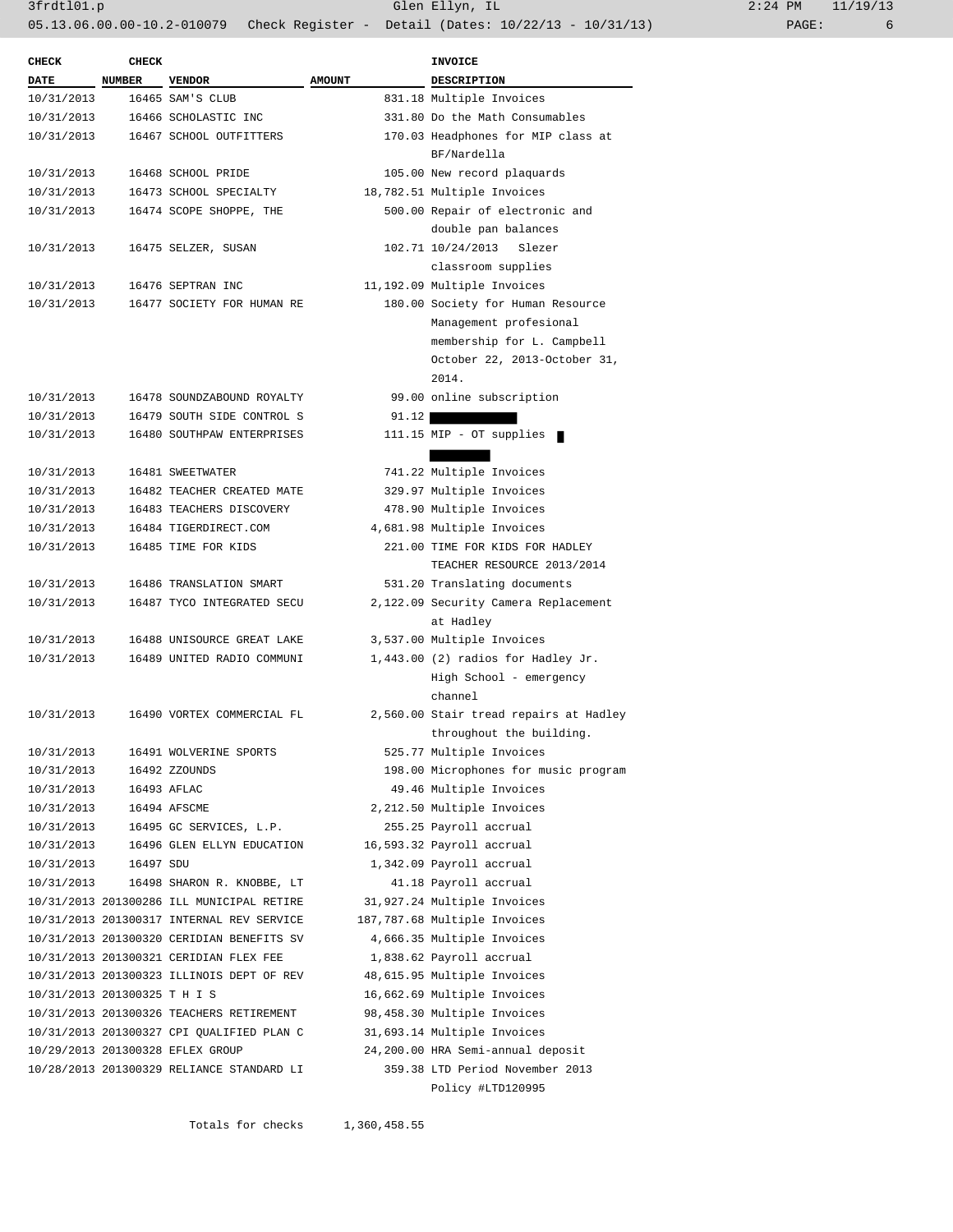| <b>CHECK</b>                 | <b>CHECK</b>  |                                           |               | <b>INVOICE</b>                         |
|------------------------------|---------------|-------------------------------------------|---------------|----------------------------------------|
| DATE                         | <b>NUMBER</b> | <b>VENDOR</b>                             | <b>AMOUNT</b> | <b>DESCRIPTION</b>                     |
| 10/31/2013                   |               | 16465 SAM'S CLUB                          |               | 831.18 Multiple Invoices               |
| 10/31/2013                   |               | 16466 SCHOLASTIC INC                      |               | 331.80 Do the Math Consumables         |
| 10/31/2013                   |               | 16467 SCHOOL OUTFITTERS                   |               | 170.03 Headphones for MIP class at     |
|                              |               |                                           |               | BF/Nardella                            |
| 10/31/2013                   |               | 16468 SCHOOL PRIDE                        |               | 105.00 New record plaquards            |
| 10/31/2013                   |               | 16473 SCHOOL SPECIALTY                    |               | 18,782.51 Multiple Invoices            |
| 10/31/2013                   |               | 16474 SCOPE SHOPPE, THE                   |               | 500.00 Repair of electronic and        |
|                              |               |                                           |               | double pan balances                    |
| 10/31/2013                   |               | 16475 SELZER, SUSAN                       |               | 102.71 10/24/2013<br>Slezer            |
|                              |               |                                           |               | classroom supplies                     |
| 10/31/2013                   |               | 16476 SEPTRAN INC                         |               | 11,192.09 Multiple Invoices            |
| 10/31/2013                   |               | 16477 SOCIETY FOR HUMAN RE                |               | 180.00 Society for Human Resource      |
|                              |               |                                           |               | Management profesional                 |
|                              |               |                                           |               | membership for L. Campbell             |
|                              |               |                                           |               | October 22, 2013-October 31,           |
|                              |               |                                           |               | 2014.                                  |
| 10/31/2013                   |               | 16478 SOUNDZABOUND ROYALTY                |               | 99.00 online subscription              |
| 10/31/2013                   |               | 16479 SOUTH SIDE CONTROL S                | 91.12         |                                        |
| 10/31/2013                   |               | 16480 SOUTHPAW ENTERPRISES                |               | 111.15 MIP - OT supplies               |
|                              |               |                                           |               |                                        |
| 10/31/2013                   |               | 16481 SWEETWATER                          |               | 741.22 Multiple Invoices               |
| 10/31/2013                   |               | 16482 TEACHER CREATED MATE                |               | 329.97 Multiple Invoices               |
| 10/31/2013                   |               | 16483 TEACHERS DISCOVERY                  |               | 478.90 Multiple Invoices               |
| 10/31/2013                   |               | 16484 TIGERDIRECT.COM                     |               | 4,681.98 Multiple Invoices             |
| 10/31/2013                   |               | 16485 TIME FOR KIDS                       |               | 221.00 TIME FOR KIDS FOR HADLEY        |
|                              |               |                                           |               | TEACHER RESOURCE 2013/2014             |
| 10/31/2013                   |               | 16486 TRANSLATION SMART                   |               | 531.20 Translating documents           |
| 10/31/2013                   |               | 16487 TYCO INTEGRATED SECU                |               | 2,122.09 Security Camera Replacement   |
|                              |               |                                           |               | at Hadley                              |
| 10/31/2013                   |               | 16488 UNISOURCE GREAT LAKE                |               | 3,537.00 Multiple Invoices             |
| 10/31/2013                   |               | 16489 UNITED RADIO COMMUNI                |               | 1,443.00 (2) radios for Hadley Jr.     |
|                              |               |                                           |               | High School - emergency                |
|                              |               |                                           |               | channel                                |
| 10/31/2013                   |               | 16490 VORTEX COMMERCIAL FL                |               | 2,560.00 Stair tread repairs at Hadley |
|                              |               |                                           |               | throughout the building.               |
| 10/31/2013                   |               | 16491 WOLVERINE SPORTS                    |               | 525.77 Multiple Invoices               |
| 10/31/2013                   |               | 16492 ZZOUNDS                             |               | 198.00 Microphones for music program   |
| 10/31/2013                   |               | 16493 AFLAC                               |               | 49.46 Multiple Invoices                |
| 10/31/2013                   |               | 16494 AFSCME                              |               | 2,212.50 Multiple Invoices             |
| 10/31/2013                   |               | 16495 GC SERVICES, L.P.                   |               | 255.25 Payroll accrual                 |
| 10/31/2013                   |               | 16496 GLEN ELLYN EDUCATION                |               | 16,593.32 Payroll accrual              |
| 10/31/2013                   | 16497 SDU     |                                           |               | 1,342.09 Payroll accrual               |
| 10/31/2013                   |               | 16498 SHARON R. KNOBBE, LT                |               | 41.18 Payroll accrual                  |
|                              |               | 10/31/2013 201300286 ILL MUNICIPAL RETIRE |               | 31,927.24 Multiple Invoices            |
|                              |               | 10/31/2013 201300317 INTERNAL REV SERVICE |               | 187,787.68 Multiple Invoices           |
|                              |               | 10/31/2013 201300320 CERIDIAN BENEFITS SV |               | 4,666.35 Multiple Invoices             |
|                              |               | 10/31/2013 201300321 CERIDIAN FLEX FEE    |               | 1,838.62 Payroll accrual               |
|                              |               | 10/31/2013 201300323 ILLINOIS DEPT OF REV |               | 48,615.95 Multiple Invoices            |
| 10/31/2013 201300325 T H I S |               |                                           |               | 16,662.69 Multiple Invoices            |
|                              |               | 10/31/2013 201300326 TEACHERS RETIREMENT  |               | 98,458.30 Multiple Invoices            |
|                              |               | 10/31/2013 201300327 CPI QUALIFIED PLAN C |               | 31,693.14 Multiple Invoices            |
|                              |               | 10/29/2013 201300328 EFLEX GROUP          |               | 24,200.00 HRA Semi-annual deposit      |
|                              |               | 10/28/2013 201300329 RELIANCE STANDARD LI |               | 359.38 LTD Period November 2013        |
|                              |               |                                           |               | Policy #LTD120995                      |

Totals for checks 1,360,458.55